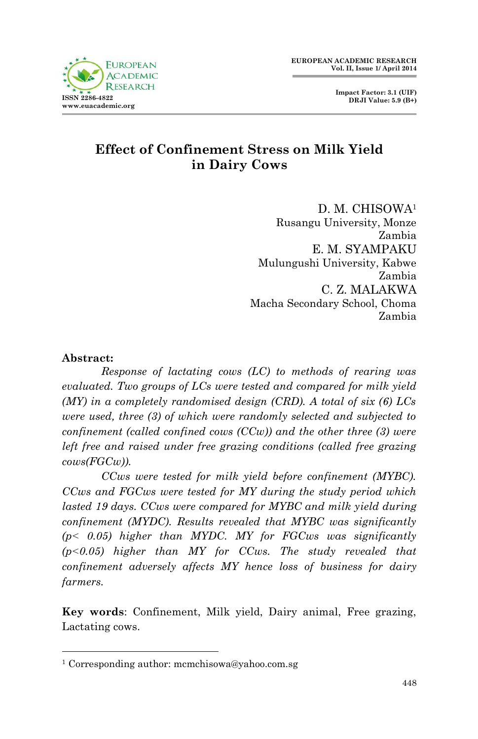

# **Effect of Confinement Stress on Milk Yield in Dairy Cows**

D. M. CHISOWA<sup>1</sup> Rusangu University, Monze Zambia E. M. SYAMPAKU Mulungushi University, Kabwe Zambia C. Z. MALAKWA Macha Secondary School, Choma Zambia

#### **Abstract:**

1

*Response of lactating cows (LC) to methods of rearing was evaluated. Two groups of LCs were tested and compared for milk yield (MY) in a completely randomised design (CRD). A total of six (6) LCs were used, three (3) of which were randomly selected and subjected to confinement (called confined cows (CCw)) and the other three (3) were left free and raised under free grazing conditions (called free grazing cows(FGCw)).*

*CCws were tested for milk yield before confinement (MYBC). CCws and FGCws were tested for MY during the study period which*  lasted 19 days. CCws were compared for MYBC and milk yield during *confinement (MYDC). Results revealed that MYBC was significantly (p˂ 0.05) higher than MYDC. MY for FGCws was significantly (p˂0.05) higher than MY for CCws. The study revealed that confinement adversely affects MY hence loss of business for dairy farmers.* 

**Key words**: Confinement, Milk yield, Dairy animal, Free grazing, Lactating cows.

<sup>1</sup> Corresponding author: mcmchisowa@yahoo.com.sg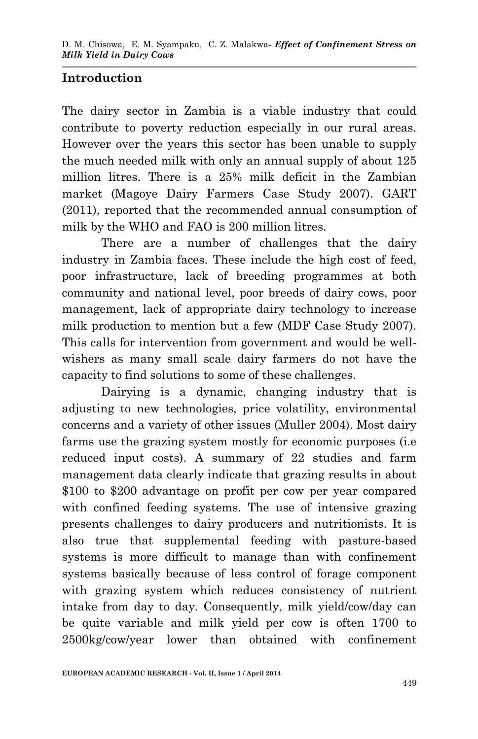## **Introduction**

The dairy sector in Zambia is a viable industry that could contribute to poverty reduction especially in our rural areas. However over the years this sector has been unable to supply the much needed milk with only an annual supply of about 125 million litres. There is a 25% milk deficit in the Zambian market (Magoye Dairy Farmers Case Study 2007). GART (2011), reported that the recommended annual consumption of milk by the WHO and FAO is 200 million litres.

There are a number of challenges that the dairy industry in Zambia faces. These include the high cost of feed, poor infrastructure, lack of breeding programmes at both community and national level, poor breeds of dairy cows, poor management, lack of appropriate dairy technology to increase milk production to mention but a few (MDF Case Study 2007). This calls for intervention from government and would be wellwishers as many small scale dairy farmers do not have the capacity to find solutions to some of these challenges.

Dairying is a dynamic, changing industry that is adjusting to new technologies, price volatility, environmental concerns and a variety of other issues (Muller 2004). Most dairy farms use the grazing system mostly for economic purposes (i.e reduced input costs). A summary of 22 studies and farm management data clearly indicate that grazing results in about \$100 to \$200 advantage on profit per cow per year compared with confined feeding systems. The use of intensive grazing presents challenges to dairy producers and nutritionists. It is also true that supplemental feeding with pasture-based systems is more difficult to manage than with confinement systems basically because of less control of forage component with grazing system which reduces consistency of nutrient intake from day to day. Consequently, milk yield/cow/day can be quite variable and milk yield per cow is often 1700 to 2500kg/cow/year lower than obtained with confinement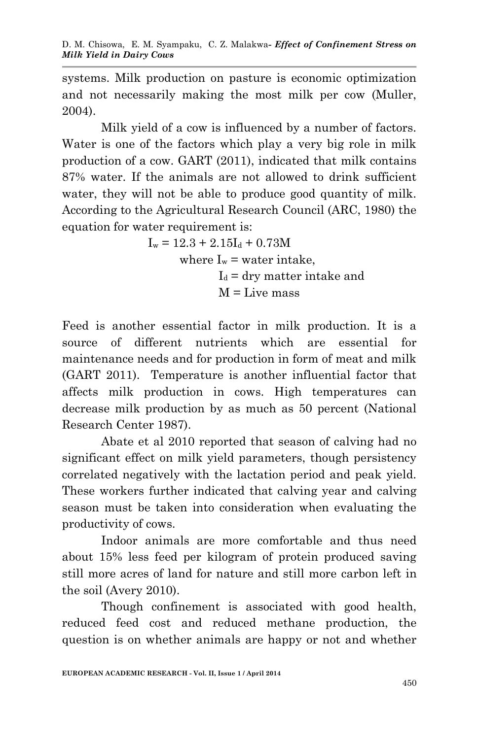systems. Milk production on pasture is economic optimization and not necessarily making the most milk per cow (Muller, 2004).

Milk yield of a cow is influenced by a number of factors. Water is one of the factors which play a very big role in milk production of a cow. GART (2011), indicated that milk contains 87% water. If the animals are not allowed to drink sufficient water, they will not be able to produce good quantity of milk. According to the Agricultural Research Council (ARC, 1980) the equation for water requirement is:

> $I_w = 12.3 + 2.15I_d + 0.73M$ where  $I_w$  = water intake,  $I_d$  = dry matter intake and  $M =$ Live mass

Feed is another essential factor in milk production. It is a source of different nutrients which are essential for maintenance needs and for production in form of meat and milk (GART 2011). Temperature is another influential factor that affects milk production in cows. High temperatures can decrease milk production by as much as 50 percent (National Research Center 1987).

Abate et al 2010 reported that season of calving had no significant effect on milk yield parameters, though persistency correlated negatively with the lactation period and peak yield. These workers further indicated that calving year and calving season must be taken into consideration when evaluating the productivity of cows.

Indoor animals are more comfortable and thus need about 15% less feed per kilogram of protein produced saving still more acres of land for nature and still more carbon left in the soil (Avery 2010).

Though confinement is associated with good health, reduced feed cost and reduced methane production, the question is on whether animals are happy or not and whether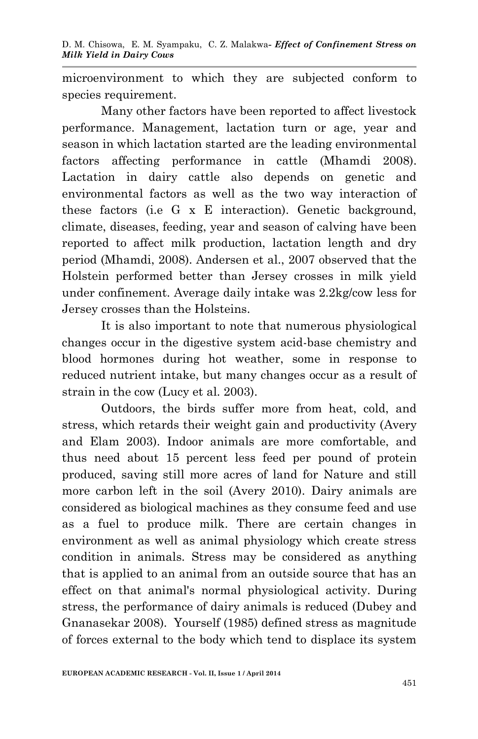microenvironment to which they are subjected conform to species requirement.

Many other factors have been reported to affect livestock performance. Management, lactation turn or age, year and season in which lactation started are the leading environmental factors affecting performance in cattle (Mhamdi 2008). Lactation in dairy cattle also depends on genetic and environmental factors as well as the two way interaction of these factors (i.e G x E interaction). Genetic background, climate, diseases, feeding, year and season of calving have been reported to affect milk production, lactation length and dry period (Mhamdi, 2008). Andersen et al., 2007 observed that the Holstein performed better than Jersey crosses in milk yield under confinement. Average daily intake was 2.2kg/cow less for Jersey crosses than the Holsteins.

It is also important to note that numerous physiological changes occur in the digestive system acid-base chemistry and blood hormones during hot weather, some in response to reduced nutrient intake, but many changes occur as a result of strain in the cow (Lucy et al. 2003).

Outdoors, the birds suffer more from heat, cold, and stress, which retards their weight gain and productivity (Avery and Elam 2003). Indoor animals are more comfortable, and thus need about 15 percent less feed per pound of protein produced, saving still more acres of land for Nature and still more carbon left in the soil (Avery 2010). Dairy animals are considered as biological machines as they consume feed and use as a fuel to produce milk. There are certain changes in environment as well as animal physiology which create stress condition in animals. Stress may be considered as anything that is applied to an animal from an outside source that has an effect on that animal's normal physiological activity. During stress, the performance of dairy animals is reduced (Dubey and Gnanasekar 2008). Yourself (1985) defined stress as magnitude of forces external to the body which tend to displace its system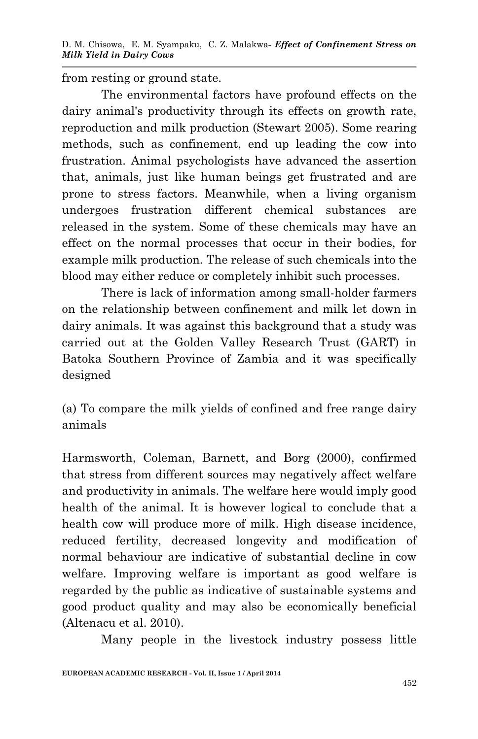from resting or ground state.

The environmental factors have profound effects on the dairy animal's productivity through its effects on growth rate, reproduction and milk production (Stewart 2005). Some rearing methods, such as confinement, end up leading the cow into frustration. Animal psychologists have advanced the assertion that, animals, just like human beings get frustrated and are prone to stress factors. Meanwhile, when a living organism undergoes frustration different chemical substances are released in the system. Some of these chemicals may have an effect on the normal processes that occur in their bodies, for example milk production. The release of such chemicals into the blood may either reduce or completely inhibit such processes.

There is lack of information among small-holder farmers on the relationship between confinement and milk let down in dairy animals. It was against this background that a study was carried out at the Golden Valley Research Trust (GART) in Batoka Southern Province of Zambia and it was specifically designed

(a) To compare the milk yields of confined and free range dairy animals

Harmsworth, Coleman, Barnett, and Borg (2000), confirmed that stress from different sources may negatively affect welfare and productivity in animals. The welfare here would imply good health of the animal. It is however logical to conclude that a health cow will produce more of milk. High disease incidence, reduced fertility, decreased longevity and modification of normal behaviour are indicative of substantial decline in cow welfare. Improving welfare is important as good welfare is regarded by the public as indicative of sustainable systems and good product quality and may also be economically beneficial (Altenacu et al. 2010).

Many people in the livestock industry possess little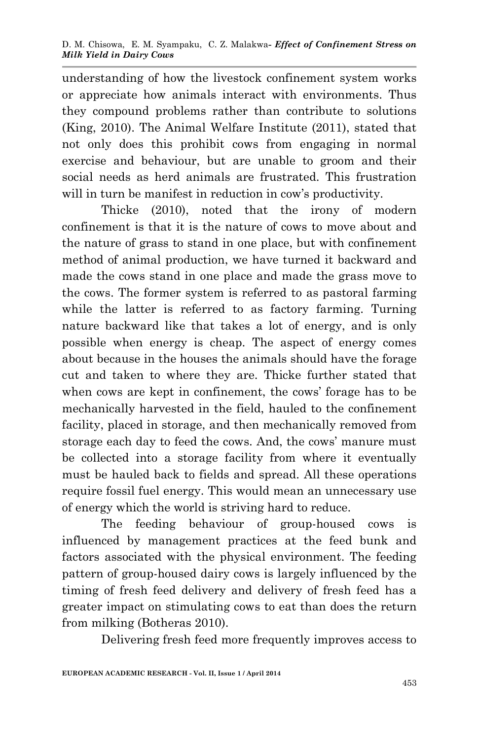understanding of how the livestock confinement system works or appreciate how animals interact with environments. Thus they compound problems rather than contribute to solutions (King, 2010). The Animal Welfare Institute (2011), stated that not only does this prohibit cows from engaging in normal exercise and behaviour, but are unable to groom and their social needs as herd animals are frustrated. This frustration will in turn be manifest in reduction in cow's productivity.

Thicke (2010), noted that the irony of modern confinement is that it is the nature of cows to move about and the nature of grass to stand in one place, but with confinement method of animal production, we have turned it backward and made the cows stand in one place and made the grass move to the cows. The former system is referred to as pastoral farming while the latter is referred to as factory farming. Turning nature backward like that takes a lot of energy, and is only possible when energy is cheap. The aspect of energy comes about because in the houses the animals should have the forage cut and taken to where they are. Thicke further stated that when cows are kept in confinement, the cows' forage has to be mechanically harvested in the field, hauled to the confinement facility, placed in storage, and then mechanically removed from storage each day to feed the cows. And, the cows' manure must be collected into a storage facility from where it eventually must be hauled back to fields and spread. All these operations require fossil fuel energy. This would mean an unnecessary use of energy which the world is striving hard to reduce.

The feeding behaviour of group-housed cows is influenced by management practices at the feed bunk and factors associated with the physical environment. The feeding pattern of group-housed dairy cows is largely influenced by the timing of fresh feed delivery and delivery of fresh feed has a greater impact on stimulating cows to eat than does the return from milking (Botheras 2010).

Delivering fresh feed more frequently improves access to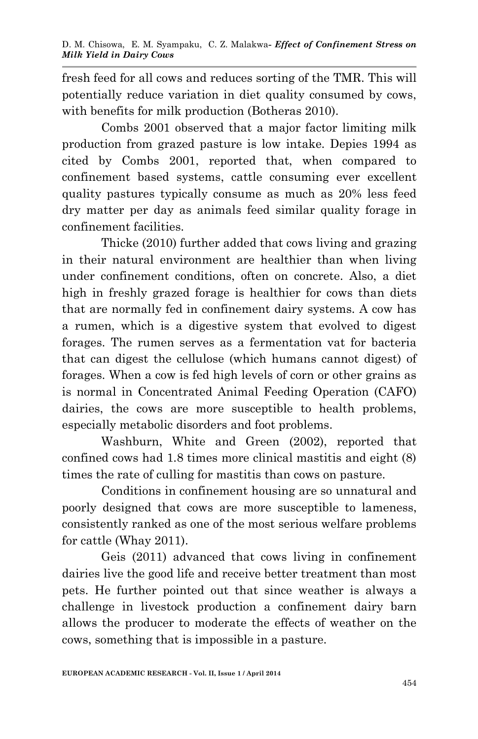fresh feed for all cows and reduces sorting of the TMR. This will potentially reduce variation in diet quality consumed by cows, with benefits for milk production (Botheras 2010).

Combs 2001 observed that a major factor limiting milk production from grazed pasture is low intake. Depies 1994 as cited by Combs 2001, reported that, when compared to confinement based systems, cattle consuming ever excellent quality pastures typically consume as much as 20% less feed dry matter per day as animals feed similar quality forage in confinement facilities.

Thicke (2010) further added that cows living and grazing in their natural environment are healthier than when living under confinement conditions, often on concrete. Also, a diet high in freshly grazed forage is healthier for cows than diets that are normally fed in confinement dairy systems. A cow has a rumen, which is a digestive system that evolved to digest forages. The rumen serves as a fermentation vat for bacteria that can digest the cellulose (which humans cannot digest) of forages. When a cow is fed high levels of corn or other grains as is normal in Concentrated Animal Feeding Operation (CAFO) dairies, the cows are more susceptible to health problems, especially metabolic disorders and foot problems.

Washburn, White and Green (2002), reported that confined cows had 1.8 times more clinical mastitis and eight (8) times the rate of culling for mastitis than cows on pasture.

Conditions in confinement housing are so unnatural and poorly designed that cows are more susceptible to lameness, consistently ranked as one of the most serious welfare problems for cattle (Whay 2011).

Geis (2011) advanced that cows living in confinement dairies live the good life and receive better treatment than most pets. He further pointed out that since weather is always a challenge in livestock production a confinement dairy barn allows the producer to moderate the effects of weather on the cows, something that is impossible in a pasture.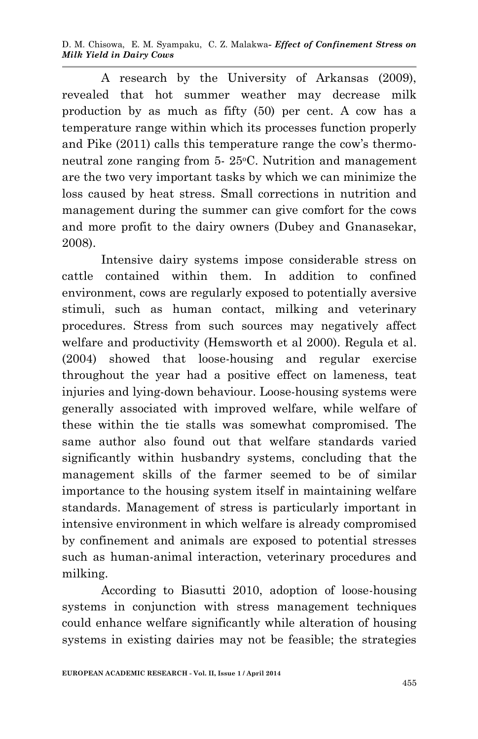D. M. Chisowa, E. M. Syampaku, C. Z. Malakwa*- Effect of Confinement Stress on Milk Yield in Dairy Cows*

A research by the University of Arkansas (2009), revealed that hot summer weather may decrease milk production by as much as fifty (50) per cent. A cow has a temperature range within which its processes function properly and Pike (2011) calls this temperature range the cow's thermoneutral zone ranging from 5- 25 °C. Nutrition and management are the two very important tasks by which we can minimize the loss caused by heat stress. Small corrections in nutrition and management during the summer can give comfort for the cows and more profit to the dairy owners (Dubey and Gnanasekar, 2008).

Intensive dairy systems impose considerable stress on cattle contained within them. In addition to confined environment, cows are regularly exposed to potentially aversive stimuli, such as human contact, milking and veterinary procedures. Stress from such sources may negatively affect welfare and productivity (Hemsworth et al 2000). Regula et al. (2004) showed that loose-housing and regular exercise throughout the year had a positive effect on lameness, teat injuries and lying-down behaviour. Loose-housing systems were generally associated with improved welfare, while welfare of these within the tie stalls was somewhat compromised. The same author also found out that welfare standards varied significantly within husbandry systems, concluding that the management skills of the farmer seemed to be of similar importance to the housing system itself in maintaining welfare standards. Management of stress is particularly important in intensive environment in which welfare is already compromised by confinement and animals are exposed to potential stresses such as human-animal interaction, veterinary procedures and milking.

According to Biasutti 2010, adoption of loose-housing systems in conjunction with stress management techniques could enhance welfare significantly while alteration of housing systems in existing dairies may not be feasible; the strategies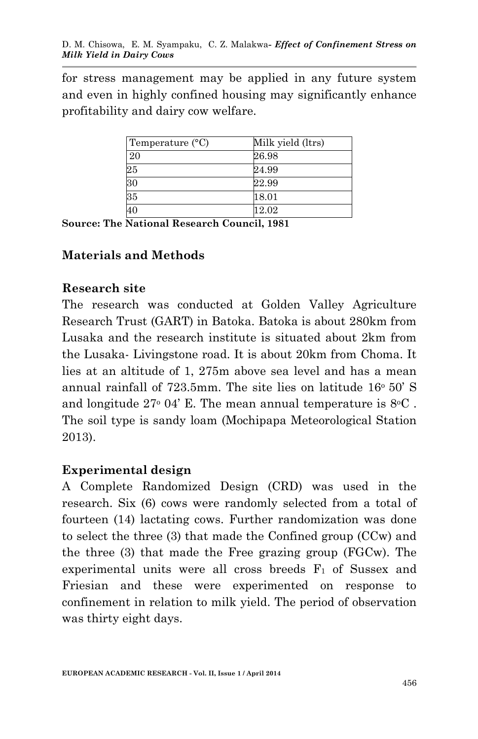for stress management may be applied in any future system and even in highly confined housing may significantly enhance profitability and dairy cow welfare.

| Temperature $(^{\circ}C)$ | Milk yield (ltrs) |
|---------------------------|-------------------|
| 20                        | 26.98             |
| 25                        | 24.99             |
| 30                        | 22.99             |
| 35                        | 18.01             |
| 40                        | 12.02             |

**Source: The National Research Council, 1981**

### **Materials and Methods**

#### **Research site**

The research was conducted at Golden Valley Agriculture Research Trust (GART) in Batoka. Batoka is about 280km from Lusaka and the research institute is situated about 2km from the Lusaka- Livingstone road. It is about 20km from Choma. It lies at an altitude of 1, 275m above sea level and has a mean annual rainfall of  $723.5$ mm. The site lies on latitude  $16^{\circ} 50'$  S and longitude  $27^{\circ}$  04' E. The mean annual temperature is  $8^{\circ}$ C. The soil type is sandy loam (Mochipapa Meteorological Station 2013).

#### **Experimental design**

A Complete Randomized Design (CRD) was used in the research. Six (6) cows were randomly selected from a total of fourteen (14) lactating cows. Further randomization was done to select the three (3) that made the Confined group (CCw) and the three (3) that made the Free grazing group (FGCw). The experimental units were all cross breeds  $F_1$  of Sussex and Friesian and these were experimented on response to confinement in relation to milk yield. The period of observation was thirty eight days.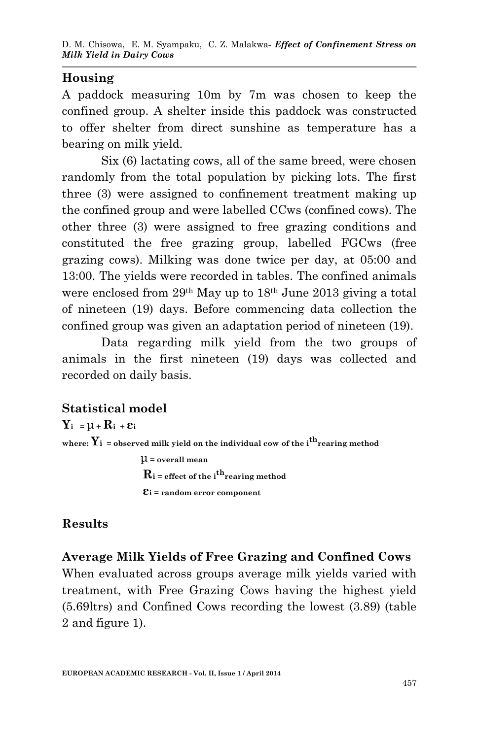### **Housing**

A paddock measuring 10m by 7m was chosen to keep the confined group. A shelter inside this paddock was constructed to offer shelter from direct sunshine as temperature has a bearing on milk yield.

Six (6) lactating cows, all of the same breed, were chosen randomly from the total population by picking lots. The first three (3) were assigned to confinement treatment making up the confined group and were labelled CCws (confined cows). The other three (3) were assigned to free grazing conditions and constituted the free grazing group, labelled FGCws (free grazing cows). Milking was done twice per day, at 05:00 and 13:00. The yields were recorded in tables. The confined animals were enclosed from 29th May up to 18th June 2013 giving a total of nineteen (19) days. Before commencing data collection the confined group was given an adaptation period of nineteen (19).

Data regarding milk yield from the two groups of animals in the first nineteen (19) days was collected and recorded on daily basis.

## **Statistical model**

 $Y_i = \mu + R_i + \varepsilon_i$ where:  $Y_i$  = observed milk yield on the individual cow of the i<sup>th</sup> rearing method μ **= overall mean**  $\mathbf{R}_i$  = effect of the i<sup>th</sup> rearing method

 **εi = random error component**

## **Results**

## **Average Milk Yields of Free Grazing and Confined Cows**

When evaluated across groups average milk yields varied with treatment, with Free Grazing Cows having the highest yield (5.69ltrs) and Confined Cows recording the lowest (3.89) (table 2 and figure 1).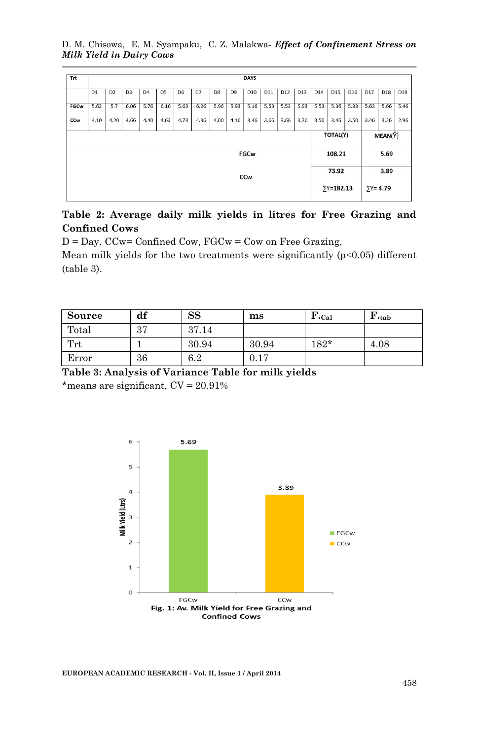#### D. M. Chisowa, E. M. Syampaku, C. Z. Malakwa*- Effect of Confinement Stress on Milk Yield in Dairy Cows*

| <b>DAYS</b>    |                |                |                |                |                |      |                |                |                 |                           |                 |      |      |      |      |                                             |      |                                                    |
|----------------|----------------|----------------|----------------|----------------|----------------|------|----------------|----------------|-----------------|---------------------------|-----------------|------|------|------|------|---------------------------------------------|------|----------------------------------------------------|
| D <sub>1</sub> | D <sub>2</sub> | D <sub>3</sub> | D <sub>4</sub> | D <sub>5</sub> | D <sub>6</sub> | D7   | D <sub>8</sub> | D <sub>9</sub> | D <sub>10</sub> | D11                       | D <sub>12</sub> | D13  | D14  | D15  | D16  | D17                                         | D18  | D19                                                |
| 5.63           | 5.7            | 6.06           | 5.76           | 6.16           | 5.63           | 6.26 | 5.96           | 5.93           | 5.16            | 5.53                      | 5.53            | 5.93 | 5.53 | 5.36 | 5.33 | 5.63                                        | 5.66 | 5.46                                               |
| 4.10           | 4.20           | 4.66           | 4.40           | 4.63           | 4.73           | 4.36 | 4.00           | 4.16           | 3.46            | 3.66                      | 3.66            | 3.76 | 3.50 | 3.46 | 3.50 | 3.46                                        | 3.26 | 2.96                                               |
|                |                |                |                |                |                |      |                |                |                 |                           |                 |      |      |      |      |                                             |      |                                                    |
|                |                |                |                |                |                |      |                |                |                 |                           |                 |      |      |      |      |                                             |      |                                                    |
|                |                |                |                |                |                |      |                |                |                 |                           |                 |      |      |      |      |                                             |      |                                                    |
|                |                |                |                |                |                |      |                |                |                 |                           |                 |      |      |      |      |                                             |      |                                                    |
|                |                |                |                |                |                |      |                |                |                 | <b>FGCw</b><br><b>CCw</b> |                 |      |      |      |      | TOTAL(Y)<br>108.21<br>73.92<br>$Y = 182.13$ |      | MEAN(Y)<br>5.69<br>3.89<br>$\Sigma \bar{Y}$ = 4.79 |

#### **Table 2: Average daily milk yields in litres for Free Grazing and Confined Cows**

 $D = Day$ ,  $CCw = ConfidenceCow$ ,  $FGCw = Cow$  on Free Grazing,

Mean milk yields for the two treatments were significantly  $(p<0.05)$  different (table 3).

| Source               | df | <b>SS</b> | ms    | $\mathbf{F}.\mathbf{Cal}$ | $\mathbf{F}$ <sub>tab</sub> |
|----------------------|----|-----------|-------|---------------------------|-----------------------------|
| Total                | 37 | 37.14     |       |                           |                             |
| $\operatorname{Trt}$ |    | 30.94     | 30.94 | $182*$                    | 4.08                        |
| Error                | 36 | 6.2       | 0.17  |                           |                             |

**Table 3: Analysis of Variance Table for milk yields**

\*means are significant,  $CV = 20.91\%$ 



**EUROPEAN ACADEMIC RESEARCH - Vol. II, Issue 1 / April 2014**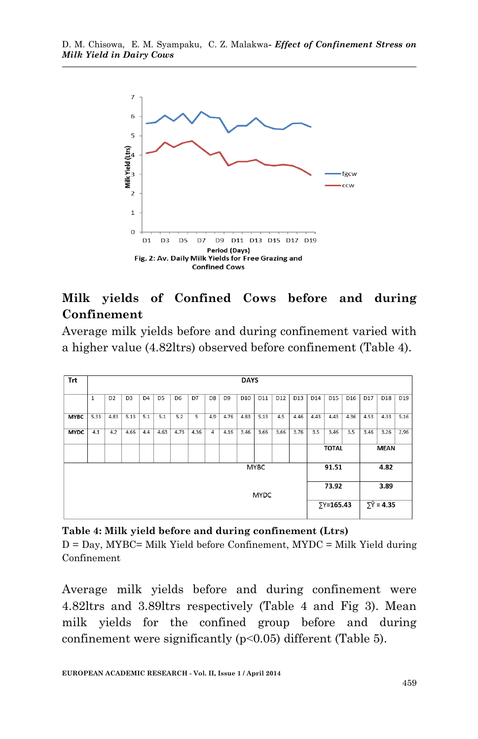

## **Milk yields of Confined Cows before and during Confinement**

Average milk yields before and during confinement varied with a higher value (4.82ltrs) observed before confinement (Table 4).

| Trt                  |              |                |                |                |                |                |      |                |                | <b>DAYS</b>     |             |                 |                             |                   |                 |                 |      |      |      |
|----------------------|--------------|----------------|----------------|----------------|----------------|----------------|------|----------------|----------------|-----------------|-------------|-----------------|-----------------------------|-------------------|-----------------|-----------------|------|------|------|
|                      | $\mathbf{1}$ | D <sub>2</sub> | D <sub>3</sub> | D <sub>4</sub> | D <sub>5</sub> | D <sub>6</sub> | D7   | D <sub>8</sub> | D <sub>9</sub> | D <sub>10</sub> | D11         | D <sub>12</sub> | D13                         | D14               | D <sub>15</sub> | D <sub>16</sub> | D17  | D18  | D19  |
| <b>MYBC</b>          | 5.33         | 4.83           | 5.13           | 5.1            | 5.1            | 5.2            | 5    | 4.9            | 4.76           | 4.83            | 5.13        | 4.5             | 4.46                        | 4.43              | 4.43            | 4.36            | 4.53 | 4.33 | 5.16 |
| <b>MYDC</b>          | 4.1          | 4.2            | 4.66           | 4.4            | 4.63           | 4.73           | 4.36 | 4              | 4.16           | 3.46            | 3.66        | 3.66            | 3.76                        | 3.5               | 3.46            | 3.5             | 3.46 | 3.26 | 2.96 |
|                      |              |                |                |                |                |                |      |                |                |                 |             |                 | <b>TOTAL</b><br><b>MEAN</b> |                   |                 |                 |      |      |      |
| <b>MYBC</b><br>91.51 |              |                |                |                |                |                |      |                |                |                 |             | 4.82            |                             |                   |                 |                 |      |      |      |
| <b>MYDC</b>          |              |                |                |                |                |                |      |                |                |                 |             | 73.92           |                             |                   | 3.89            |                 |      |      |      |
|                      |              |                |                |                |                |                |      |                |                |                 | $5Y=165.43$ |                 |                             | $5\bar{Y} = 4.35$ |                 |                 |      |      |      |

#### **Table 4: Milk yield before and during confinement (Ltrs)**

 $D = Day$ , MYBC= Milk Yield before Confinement, MYDC = Milk Yield during Confinement

Average milk yields before and during confinement were 4.82ltrs and 3.89ltrs respectively (Table 4 and Fig 3). Mean milk yields for the confined group before and during confinement were significantly (p˂0.05) different (Table 5).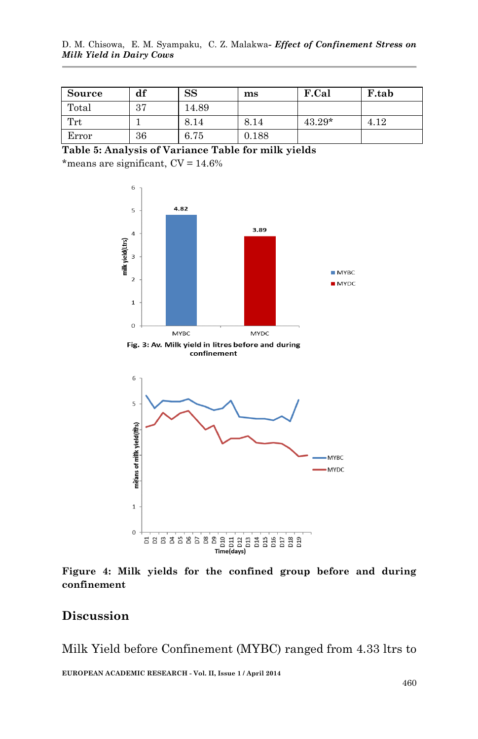| Source               | df | $_{\rm SS}$ | $\mathbf{ms}$ | F.Cal    | <b>F.tab</b> |
|----------------------|----|-------------|---------------|----------|--------------|
| Total                | 27 | 14.89       |               |          |              |
| $\operatorname{Trt}$ |    | 8.14        | 8.14          | $43.29*$ | 4.12         |
| Error                | 36 | 6.75        | 0.188         |          |              |

```
Table 5: Analysis of Variance Table for milk yields
```
\*means are significant,  $CV = 14.6\%$ 



Fig. 3: Av. Milk yield in litres before and during confinement



**Figure 4: Milk yields for the confined group before and during confinement**

### **Discussion**

Milk Yield before Confinement (MYBC) ranged from 4.33 ltrs to

**EUROPEAN ACADEMIC RESEARCH - Vol. II, Issue 1 / April 2014**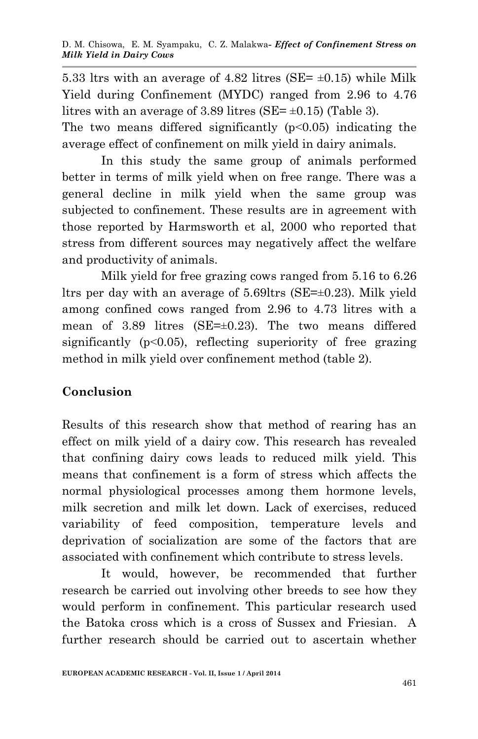5.33 ltrs with an average of 4.82 litres (SE=  $\pm$ 0.15) while Milk Yield during Confinement (MYDC) ranged from 2.96 to 4.76 litres with an average of 3.89 litres (SE= $\pm$ 0.15) (Table 3). The two means differed significantly (p˂0.05) indicating the

average effect of confinement on milk yield in dairy animals.

In this study the same group of animals performed better in terms of milk yield when on free range. There was a general decline in milk yield when the same group was subjected to confinement. These results are in agreement with those reported by Harmsworth et al, 2000 who reported that stress from different sources may negatively affect the welfare and productivity of animals.

Milk yield for free grazing cows ranged from 5.16 to 6.26 ltrs per day with an average of 5.69ltrs (SE=±0.23). Milk yield among confined cows ranged from 2.96 to 4.73 litres with a mean of 3.89 litres (SE=±0.23). The two means differed significantly (p<0.05), reflecting superiority of free grazing method in milk yield over confinement method (table 2).

## **Conclusion**

Results of this research show that method of rearing has an effect on milk yield of a dairy cow. This research has revealed that confining dairy cows leads to reduced milk yield. This means that confinement is a form of stress which affects the normal physiological processes among them hormone levels, milk secretion and milk let down. Lack of exercises, reduced variability of feed composition, temperature levels and deprivation of socialization are some of the factors that are associated with confinement which contribute to stress levels.

It would, however, be recommended that further research be carried out involving other breeds to see how they would perform in confinement. This particular research used the Batoka cross which is a cross of Sussex and Friesian. A further research should be carried out to ascertain whether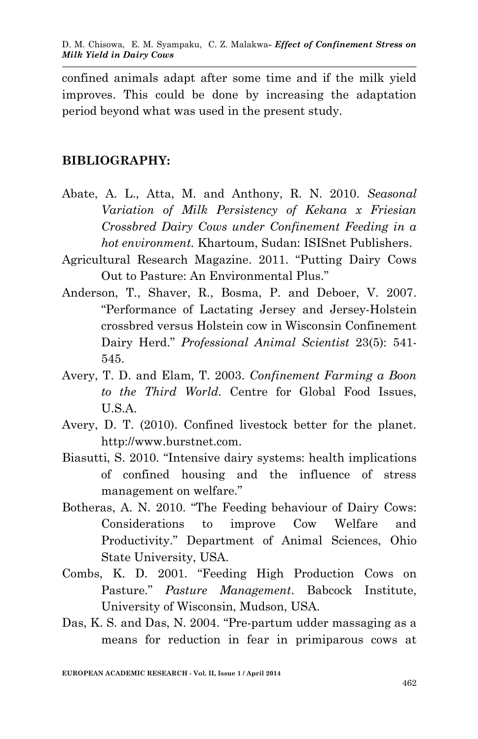confined animals adapt after some time and if the milk yield improves. This could be done by increasing the adaptation period beyond what was used in the present study.

### **BIBLIOGRAPHY:**

- Abate, A. L., Atta, M. and Anthony, R. N. 2010. *Seasonal Variation of Milk Persistency of Kekana x Friesian Crossbred Dairy Cows under Confinement Feeding in a hot environment.* Khartoum, Sudan: ISISnet Publishers.
- Agricultural Research Magazine. 2011. "Putting Dairy Cows Out to Pasture: An Environmental Plus."
- Anderson, T., Shaver, R., Bosma, P. and Deboer, V. 2007. "Performance of Lactating Jersey and Jersey-Holstein crossbred versus Holstein cow in Wisconsin Confinement Dairy Herd." *Professional Animal Scientist* 23(5): 541- 545.
- Avery, T. D. and Elam, T. 2003. *Confinement Farming a Boon to the Third World.* Centre for Global Food Issues, U.S.A.
- Avery, D. T. (2010). Confined livestock better for the planet. http://www.burstnet.com.
- Biasutti, S. 2010. "Intensive dairy systems: health implications of confined housing and the influence of stress management on welfare."
- Botheras, A. N. 2010. "The Feeding behaviour of Dairy Cows: Considerations to improve Cow Welfare and Productivity." Department of Animal Sciences, Ohio State University, USA.
- Combs, K. D. 2001. "Feeding High Production Cows on Pasture." *Pasture Management*. Babcock Institute, University of Wisconsin, Mudson, USA.
- Das, K. S. and Das, N. 2004. "Pre-partum udder massaging as a means for reduction in fear in primiparous cows at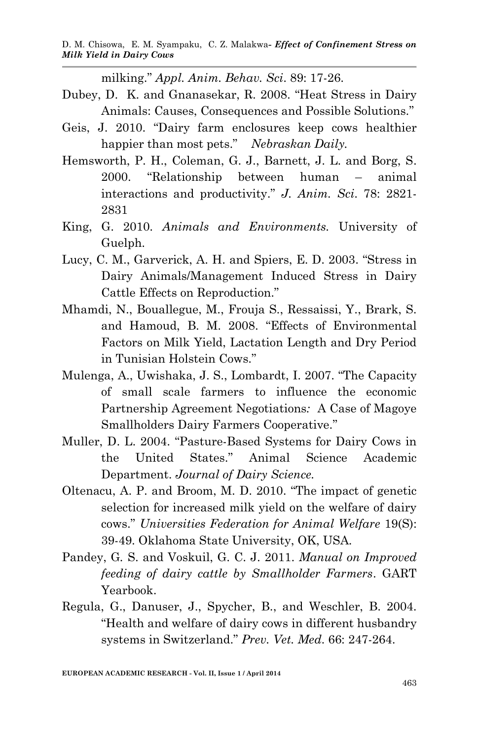milking." *Appl. Anim. Behav. Sci*. 89: 17-26.

- Dubey, D. K. and Gnanasekar, R. 2008. "Heat Stress in Dairy Animals: Causes, Consequences and Possible Solutions."
- Geis, J. 2010. "Dairy farm enclosures keep cows healthier happier than most pets." *Nebraskan Daily.*
- Hemsworth, P. H., Coleman, G. J., Barnett, J. L. and Borg, S. 2000. "Relationship between human – animal interactions and productivity." *J. Anim. Sci*. 78: 2821- 2831
- King, G. 2010. *Animals and Environments.* University of Guelph.
- Lucy, C. M., Garverick, A. H. and Spiers, E. D. 2003. "Stress in Dairy Animals/Management Induced Stress in Dairy Cattle Effects on Reproduction."
- Mhamdi, N., Bouallegue, M., Frouja S., Ressaissi, Y., Brark, S. and Hamoud, B. M. 2008. "Effects of Environmental Factors on Milk Yield, Lactation Length and Dry Period in Tunisian Holstein Cows."
- Mulenga, A., Uwishaka, J. S., Lombardt, I. 2007. "The Capacity of small scale farmers to influence the economic Partnership Agreement Negotiations*:* A Case of Magoye Smallholders Dairy Farmers Cooperative."
- Muller, D. L. 2004. "Pasture-Based Systems for Dairy Cows in the United States." Animal Science Academic Department. *Journal of Dairy Science.*
- Oltenacu, A. P. and Broom, M. D. 2010. "The impact of genetic selection for increased milk yield on the welfare of dairy cows." *Universities Federation for Animal Welfare* 19(S): 39-49. Oklahoma State University, OK, USA.
- Pandey, G*.* S. and Voskuil, G. C. J. 2011. *Manual on Improved feeding of dairy cattle by Smallholder Farmers*. GART Yearbook.
- Regula, G., Danuser, J., Spycher, B., and Weschler, B. 2004. "Health and welfare of dairy cows in different husbandry systems in Switzerland." *Prev. Vet. Med*. 66: 247-264.